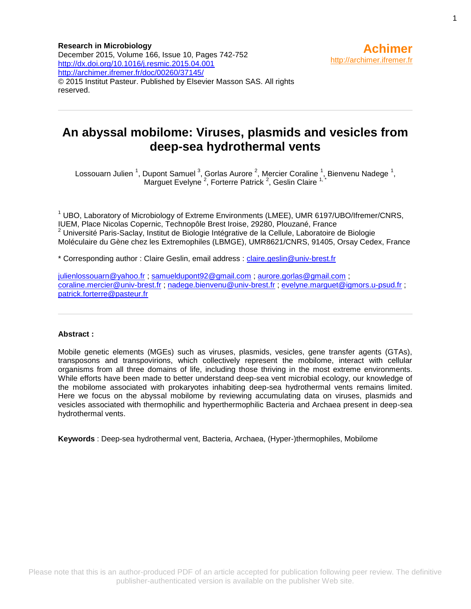**Research in Microbiology** December 2015, Volume 166, Issue 10, Pages 742-752 <http://dx.doi.org/10.1016/j.resmic.2015.04.001> <http://archimer.ifremer.fr/doc/00260/37145/> © 2015 Institut Pasteur. Published by Elsevier Masson SAS. All rights reserved.

# **An abyssal mobilome: Viruses, plasmids and vesicles from deep-sea hydrothermal vents**

Lossouarn Julien <sup>1</sup>, Dupont Samuel <sup>3</sup>, Gorlas Aurore <sup>2</sup>, Mercier Coraline <sup>1</sup>, Bienvenu Nadege <sup>1</sup>, Marguet Evelyne<sup>2</sup>, Forterre Patrick<sup>2</sup>, Geslin Claire<sup>1,\*</sup>

 $1$  UBO, Laboratory of Microbiology of Extreme Environments (LMEE), UMR 6197/UBO/Ifremer/CNRS, IUEM, Place Nicolas Copernic, Technopôle Brest Iroise, 29280, Plouzané, France  $2$  Université Paris-Saclay, Institut de Biologie Intégrative de la Cellule, Laboratoire de Biologie Moléculaire du Gène chez les Extremophiles (LBMGE), UMR8621/CNRS, 91405, Orsay Cedex, France

\* Corresponding author : Claire Geslin, email address : [claire.geslin@univ-brest.fr](mailto:claire.geslin@univ-brest.fr)

[julienlossouarn@yahoo.fr](mailto:julienlossouarn@yahoo.fr) ; [samueldupont92@gmail.com](mailto:samueldupont92@gmail.com) ; [aurore.gorlas@gmail.com](mailto:aurore.gorlas@gmail.com) ; [coraline.mercier@univ-brest.fr](mailto:coraline.mercier@univ-brest.fr) ; [nadege.bienvenu@univ-brest.fr](mailto:nadege.bienvenu@univ-brest.fr) ; [evelyne.marguet@igmors.u-psud.fr](mailto:evelyne.marguet@igmors.u-psud.fr) ; [patrick.forterre@pasteur.fr](mailto:patrick.forterre@pasteur.fr)

#### **Abstract :**

Mobile genetic elements (MGEs) such as viruses, plasmids, vesicles, gene transfer agents (GTAs), transposons and transpovirions, which collectively represent the mobilome, interact with cellular organisms from all three domains of life, including those thriving in the most extreme environments. While efforts have been made to better understand deep-sea vent microbial ecology, our knowledge of the mobilome associated with prokaryotes inhabiting deep-sea hydrothermal vents remains limited. Here we focus on the abyssal mobilome by reviewing accumulating data on viruses, plasmids and vesicles associated with thermophilic and hyperthermophilic Bacteria and Archaea present in deep-sea hydrothermal vents.

**Keywords** : Deep-sea hydrothermal vent, Bacteria, Archaea, (Hyper-)thermophiles, Mobilome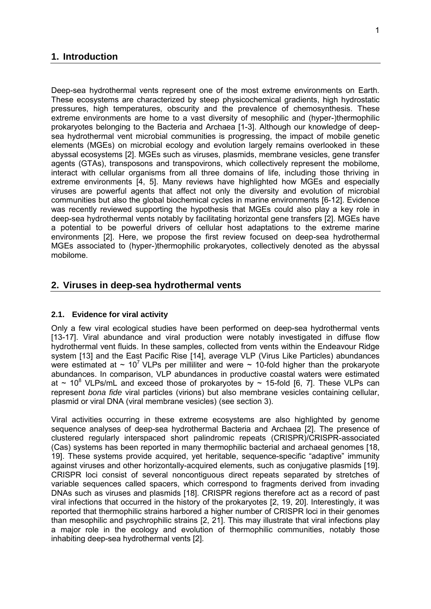### **1. Introduction**

Deep-sea hydrothermal vents represent one of the most extreme environments on Earth. These ecosystems are characterized by steep physicochemical gradients, high hydrostatic pressures, high temperatures, obscurity and the prevalence of chemosynthesis. These extreme environments are home to a vast diversity of mesophilic and (hyper-)thermophilic prokaryotes belonging to the Bacteria and Archaea [1-3]. Although our knowledge of deepsea hydrothermal vent microbial communities is progressing, the impact of mobile genetic elements (MGEs) on microbial ecology and evolution largely remains overlooked in these abyssal ecosystems [2]. MGEs such as viruses, plasmids, membrane vesicles, gene transfer agents (GTAs), transposons and transpovirons, which collectively represent the mobilome, interact with cellular organisms from all three domains of life, including those thriving in extreme environments [4, 5]. Many reviews have highlighted how MGEs and especially viruses are powerful agents that affect not only the diversity and evolution of microbial communities but also the global biochemical cycles in marine environments [6-12]. Evidence was recently reviewed supporting the hypothesis that MGEs could also play a key role in deep-sea hydrothermal vents notably by facilitating horizontal gene transfers [2]. MGEs have a potential to be powerful drivers of cellular host adaptations to the extreme marine environments [2]. Here, we propose the first review focused on deep-sea hydrothermal MGEs associated to (hyper-)thermophilic prokaryotes, collectively denoted as the abyssal mobilome.

### **2. Viruses in deep-sea hydrothermal vents**

### **2.1. Evidence for viral activity**

Only a few viral ecological studies have been performed on deep-sea hydrothermal vents [13-17]. Viral abundance and viral production were notably investigated in diffuse flow hydrothermal vent fluids. In these samples, collected from vents within the Endeavour Ridge system [13] and the East Pacific Rise [14], average VLP (Virus Like Particles) abundances were estimated at  $\sim 10^7$  VLPs per milliliter and were  $\sim 10$ -fold higher than the prokaryote abundances. In comparison, VLP abundances in productive coastal waters were estimated at  $\sim$  10<sup>8</sup> VLPs/mL and exceed those of prokaryotes by  $\sim$  15-fold [6, 7]. These VLPs can represent *bona fide* viral particles (virions) but also membrane vesicles containing cellular, plasmid or viral DNA (viral membrane vesicles) (see section 3).

Viral activities occurring in these extreme ecosystems are also highlighted by genome sequence analyses of deep-sea hydrothermal Bacteria and Archaea [2]. The presence of clustered regularly interspaced short palindromic repeats (CRISPR)/CRISPR-associated (Cas) systems has been reported in many thermophilic bacterial and archaeal genomes [18, 19]. These systems provide acquired, yet heritable, sequence-specific "adaptive" immunity against viruses and other horizontally-acquired elements, such as conjugative plasmids [19]. CRISPR loci consist of several noncontiguous direct repeats separated by stretches of variable sequences called spacers, which correspond to fragments derived from invading DNAs such as viruses and plasmids [18]. CRISPR regions therefore act as a record of past viral infections that occurred in the history of the prokaryotes [2, 19, 20]. Interestingly, it was reported that thermophilic strains harbored a higher number of CRISPR loci in their genomes than mesophilic and psychrophilic strains [2, 21]. This may illustrate that viral infections play a major role in the ecology and evolution of thermophilic communities, notably those inhabiting deep-sea hydrothermal vents [2].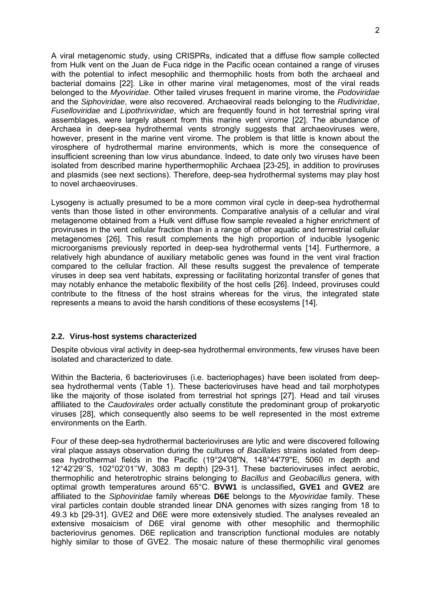A viral metagenomic study, using CRISPRs, indicated that a diffuse flow sample collected from Hulk vent on the Juan de Fuca ridge in the Pacific ocean contained a range of viruses with the potential to infect mesophilic and thermophilic hosts from both the archaeal and bacterial domains [22]. Like in other marine viral metagenomes, most of the viral reads belonged to the *Myoviridae*. Other tailed viruses frequent in marine virome, the *Podoviridae* and the *Siphoviridae*, were also recovered. Archaeoviral reads belonging to the *Rudiviridae*, *Fuselloviridae* and *Lipothrixviridae*, which are frequently found in hot terrestrial spring viral assemblages, were largely absent from this marine vent virome [22]. The abundance of Archaea in deep-sea hydrothermal vents strongly suggests that archaeoviruses were, however, present in the marine vent virome. The problem is that little is known about the virosphere of hydrothermal marine environments, which is more the consequence of insufficient screening than low virus abundance. Indeed, to date only two viruses have been isolated from described marine hyperthermophilic Archaea [23-25], in addition to proviruses and plasmids (see next sections). Therefore, deep-sea hydrothermal systems may play host to novel archaeoviruses.

Lysogeny is actually presumed to be a more common viral cycle in deep-sea hydrothermal vents than those listed in other environments. Comparative analysis of a cellular and viral metagenome obtained from a Hulk vent diffuse flow sample revealed a higher enrichment of proviruses in the vent cellular fraction than in a range of other aquatic and terrestrial cellular metagenomes [26]. This result complements the high proportion of inducible lysogenic microorganisms previously reported in deep-sea hydrothermal vents [14]. Furthermore, a relatively high abundance of auxiliary metabolic genes was found in the vent viral fraction compared to the cellular fraction. All these results suggest the prevalence of temperate viruses in deep sea vent habitats, expressing or facilitating horizontal transfer of genes that may notably enhance the metabolic flexibility of the host cells [26]. Indeed, proviruses could contribute to the fitness of the host strains whereas for the virus, the integrated state represents a means to avoid the harsh conditions of these ecosystems [14].

### **2.2. Virus-host systems characterized**

Despite obvious viral activity in deep-sea hydrothermal environments, few viruses have been isolated and characterized to date.

Within the Bacteria, 6 bacterioviruses (i.e. bacteriophages) have been isolated from deepsea hydrothermal vents (Table 1). These bacterioviruses have head and tail morphotypes like the majority of those isolated from terrestrial hot springs [27]. Head and tail viruses affiliated to the *Caudovirales* order actually constitute the predominant group of prokaryotic viruses [28], which consequently also seems to be well represented in the most extreme environments on the Earth.

Four of these deep-sea hydrothermal bacterioviruses are lytic and were discovered following viral plaque assays observation during the cultures of *Bacillales* strains isolated from deepsea hydrothermal fields in the Pacific (19°24'08''N, 148°44'79''E, 5060 m depth and 12°42'29''S, 102°02'01''W, 3083 m depth) [29-31]. These bacterioviruses infect aerobic, thermophilic and heterotrophic strains belonging to *Bacillus* and *Geobacillus* genera, with optimal growth temperatures around 65°C. **BVW1** is unclassified**, GVE1** and **GVE2** are affiliated to the *Siphoviridae* family whereas **D6E** belongs to the *Myoviridae* family. These viral particles contain double stranded linear DNA genomes with sizes ranging from 18 to 49.3 kb [29-31]. GVE2 and D6E were more extensively studied. The analyses revealed an extensive mosaicism of D6E viral genome with other mesophilic and thermophilic bacteriovirus genomes. D6E replication and transcription functional modules are notably highly similar to those of GVE2. The mosaic nature of these thermophilic viral genomes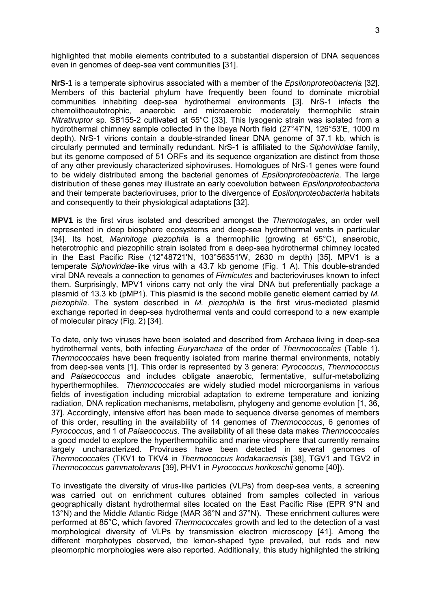highlighted that mobile elements contributed to a substantial dispersion of DNA sequences even in genomes of deep-sea vent communities [31].

**NrS-1** is a temperate siphovirus associated with a member of the *Epsilonproteobacteria* [32]. Members of this bacterial phylum have frequently been found to dominate microbial communities inhabiting deep-sea hydrothermal environments [3]. NrS-1 infects the chemolithoautotrophic, anaerobic and microaerobic moderately thermophilic strain *Nitratiruptor* sp. SB155-2 cultivated at 55°C [33]. This lysogenic strain was isolated from a hydrothermal chimney sample collected in the Ibeya North field (27°47'N, 126°53'E, 1000 m depth). NrS-1 virions contain a double-stranded linear DNA genome of 37.1 kb, which is circularly permuted and terminally redundant. NrS-1 is affiliated to the *Siphoviridae* family, but its genome composed of 51 ORFs and its sequence organization are distinct from those of any other previously characterized siphoviruses. Homologues of NrS-1 genes were found to be widely distributed among the bacterial genomes of *Epsilonproteobacteria*. The large distribution of these genes may illustrate an early coevolution between *Epsilonproteobacteria* and their temperate bacterioviruses, prior to the divergence of *Epsilonproteobacteria* habitats and consequently to their physiological adaptations [32].

**MPV1** is the first virus isolated and described amongst the *Thermotogales*, an order well represented in deep biosphere ecosystems and deep-sea hydrothermal vents in particular [34]. Its host, *Marinitoga piezophila* is a thermophilic (growing at 65°C), anaerobic, heterotrophic and piezophilic strain isolated from a deep-sea hydrothermal chimney located in the East Pacific Rise (12°48721'N, 103°56351'W, 2630 m depth) [35]. MPV1 is a temperate *Siphoviridae*-like virus with a 43.7 kb genome (Fig. 1 A). This double-stranded viral DNA reveals a connection to genomes of *Firmicutes* and bacterioviruses known to infect them. Surprisingly, MPV1 virions carry not only the viral DNA but preferentially package a plasmid of 13.3 kb (pMP1). This plasmid is the second mobile genetic element carried by *M. piezophila*. The system described in *M. piezophila* is the first virus-mediated plasmid exchange reported in deep-sea hydrothermal vents and could correspond to a new example of molecular piracy (Fig. 2) [34].

To date, only two viruses have been isolated and described from Archaea living in deep-sea hydrothermal vents, both infecting *Euryarchaea* of the order of *Thermococcales* (Table 1). *Thermococcales* have been frequently isolated from marine thermal environments, notably from deep-sea vents [1]. This order is represented by 3 genera: *Pyrococcus*, *Thermococcus* and *Palaeococcus* and includes obligate anaerobic, fermentative, sulfur-metabolizing hyperthermophiles. *Thermococcales* are widely studied model microorganisms in various fields of investigation including microbial adaptation to extreme temperature and ionizing radiation, DNA replication mechanisms, metabolism, phylogeny and genome evolution [1, 36, 37]. Accordingly, intensive effort has been made to sequence diverse genomes of members of this order, resulting in the availability of 14 genomes of *Thermococcus*, 6 genomes of *Pyrococcus*, and 1 of *Palaeococcus*. The availability of all these data makes *Thermococcales* a good model to explore the hyperthermophilic and marine virosphere that currently remains largely uncharacterized. Proviruses have been detected in several genomes of *Thermococcales* (TKV1 to TKV4 in *Thermococcus kodakaraensis* [38], TGV1 and TGV2 in *Thermococcus gammatolerans* [39], PHV1 in *Pyrococcus horikoschii* genome [40]).

To investigate the diversity of virus-like particles (VLPs) from deep-sea vents, a screening was carried out on enrichment cultures obtained from samples collected in various geographically distant hydrothermal sites located on the East Pacific Rise (EPR 9°N and 13°N) and the Middle Atlantic Ridge (MAR 36°N and 37°N). These enrichment cultures were performed at 85°C, which favored *Thermococcales* growth and led to the detection of a vast morphological diversity of VLPs by transmission electron microscopy [41]. Among the different morphotypes observed, the lemon-shaped type prevailed, but rods and new pleomorphic morphologies were also reported. Additionally, this study highlighted the striking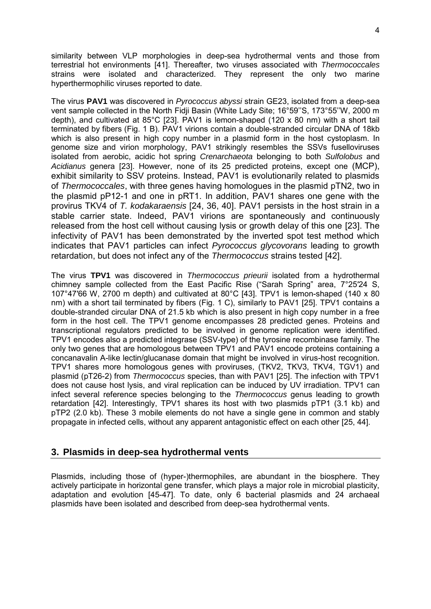similarity between VLP morphologies in deep-sea hydrothermal vents and those from terrestrial hot environments [41]. Thereafter, two viruses associated with *Thermococcales* strains were isolated and characterized. They represent the only two marine hyperthermophilic viruses reported to date.

The virus **PAV1** was discovered in *Pyrococcus abyssi* strain GE23, isolated from a deep-sea vent sample collected in the North Fidji Basin (White Lady Site; 16°59''S, 173°55''W, 2000 m depth), and cultivated at 85°C [23]. PAV1 is lemon-shaped (120 x 80 nm) with a short tail terminated by fibers (Fig. 1 B). PAV1 virions contain a double-stranded circular DNA of 18kb which is also present in high copy number in a plasmid form in the host cystoplasm. In genome size and virion morphology, PAV1 strikingly resembles the SSVs fuselloviruses isolated from aerobic, acidic hot spring *Crenarchaeota* belonging to both *Sulfolobus* and *Acidianus* genera [23]. However, none of its 25 predicted proteins, except one (MCP), exhibit similarity to SSV proteins. Instead, PAV1 is evolutionarily related to plasmids of *Thermococcales*, with three genes having homologues in the plasmid pTN2, two in the plasmid pP12-1 and one in pRT1. In addition, PAV1 shares one gene with the provirus TKV4 of *T. kodakaraensis* [24, 36, 40]. PAV1 persists in the host strain in a stable carrier state. Indeed, PAV1 virions are spontaneously and continuously released from the host cell without causing lysis or growth delay of this one [23]. The infectivity of PAV1 has been demonstrated by the inverted spot test method which indicates that PAV1 particles can infect *Pyrococcus glycovorans* leading to growth retardation, but does not infect any of the *Thermococcus* strains tested [42].

The virus **TPV1** was discovered in *Thermococcus prieurii* isolated from a hydrothermal chimney sample collected from the East Pacific Rise ("Sarah Spring" area, 7°25′24 S, 107°47′66 W, 2700 m depth) and cultivated at 80°C [43]. TPV1 is lemon-shaped (140 x 80 nm) with a short tail terminated by fibers (Fig. 1 C), similarly to PAV1 [25]. TPV1 contains a double-stranded circular DNA of 21.5 kb which is also present in high copy number in a free form in the host cell. The TPV1 genome encompasses 28 predicted genes. Proteins and transcriptional regulators predicted to be involved in genome replication were identified. TPV1 encodes also a predicted integrase (SSV-type) of the tyrosine recombinase family. The only two genes that are homologous between TPV1 and PAV1 encode proteins containing a concanavalin A-like lectin/glucanase domain that might be involved in virus-host recognition. TPV1 shares more homologous genes with proviruses, (TKV2, TKV3, TKV4, TGV1) and plasmid (pT26-2) from *Thermococcus* species, than with PAV1 [25]. The infection with TPV1 does not cause host lysis, and viral replication can be induced by UV irradiation. TPV1 can infect several reference species belonging to the *Thermococcus* genus leading to growth retardation [42]. Interestingly, TPV1 shares its host with two plasmids pTP1 (3.1 kb) and pTP2 (2.0 kb). These 3 mobile elements do not have a single gene in common and stably propagate in infected cells, without any apparent antagonistic effect on each other [25, 44].

# **3. Plasmids in deep-sea hydrothermal vents**

Plasmids, including those of (hyper-)thermophiles, are abundant in the biosphere. They actively participate in horizontal gene transfer, which plays a major role in microbial plasticity, adaptation and evolution [45-47]. To date, only 6 bacterial plasmids and 24 archaeal plasmids have been isolated and described from deep-sea hydrothermal vents.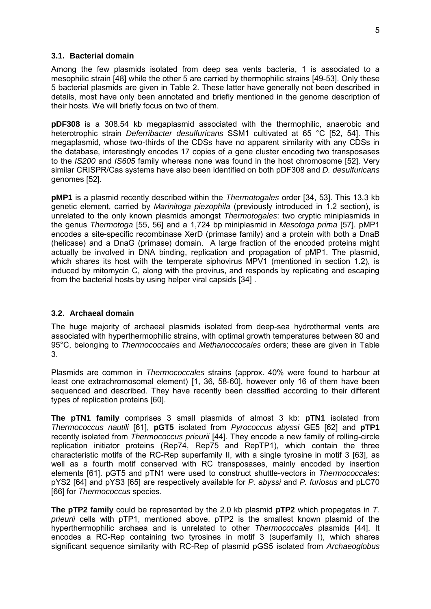#### **3.1. Bacterial domain**

Among the few plasmids isolated from deep sea vents bacteria, 1 is associated to a mesophilic strain [48] while the other 5 are carried by thermophilic strains [49-53]. Only these 5 bacterial plasmids are given in Table 2. These latter have generally not been described in details, most have only been annotated and briefly mentioned in the genome description of their hosts. We will briefly focus on two of them.

**pDF308** is a 308.54 kb megaplasmid associated with the thermophilic, anaerobic and heterotrophic strain *Deferribacter desulfuricans* SSM1 cultivated at 65 °C [52, 54]. This megaplasmid, whose two-thirds of the CDSs have no apparent similarity with any CDSs in the database, interestingly encodes 17 copies of a gene cluster encoding two transposases to the *IS200* and *IS605* family whereas none was found in the host chromosome [52]. Very similar CRISPR/Cas systems have also been identified on both pDF308 and *D. desulfuricans*  genomes [52]*.* 

**pMP1** is a plasmid recently described within the *Thermotogales* order [34, 53]. This 13.3 kb genetic element, carried by *Marinitoga piezophila* (previously introduced in 1.2 section), is unrelated to the only known plasmids amongst *Thermotogales*: two cryptic miniplasmids in the genus *Thermotoga* [55, 56] and a 1,724 bp miniplasmid in *Mesotoga prima* [57]. pMP1 encodes a site-specific recombinase XerD (primase family) and a protein with both a DnaB (helicase) and a DnaG (primase) domain. A large fraction of the encoded proteins might actually be involved in DNA binding, replication and propagation of pMP1. The plasmid, which shares its host with the temperate siphovirus MPV1 (mentioned in section 1.2), is induced by mitomycin C, along with the provirus, and responds by replicating and escaping from the bacterial hosts by using helper viral capsids [34] .

#### **3.2. Archaeal domain**

The huge majority of archaeal plasmids isolated from deep-sea hydrothermal vents are associated with hyperthermophilic strains, with optimal growth temperatures between 80 and 95°C, belonging to *Thermococcales* and *Methanoccocales* orders; these are given in Table 3.

Plasmids are common in *Thermococcales* strains (approx. 40% were found to harbour at least one extrachromosomal element) [1, 36, 58-60], however only 16 of them have been sequenced and described. They have recently been classified according to their different types of replication proteins [60].

**The pTN1 family** comprises 3 small plasmids of almost 3 kb: **pTN1** isolated from *Thermococcus nautili* [61], **pGT5** isolated from *Pyrococcus abyssi* GE5 [62] and **pTP1** recently isolated from *Thermococcus prieurii* [44]. They encode a new family of rolling-circle replication initiator proteins (Rep74, Rep75 and RepTP1), which contain the three characteristic motifs of the RC-Rep superfamily II, with a single tyrosine in motif 3 [63], as well as a fourth motif conserved with RC transposases, mainly encoded by insertion elements [61]. pGT5 and pTN1 were used to construct shuttle-vectors in *Thermococcales*: pYS2 [64] and pYS3 [65] are respectively available for *P. abyssi* and *P. furiosus* and pLC70 [66] for *Thermococcus* species.

**The pTP2 family** could be represented by the 2.0 kb plasmid **pTP2** which propagates in *T. prieurii* cells with pTP1, mentioned above. pTP2 is the smallest known plasmid of the hyperthermophilic archaea and is unrelated to other *Thermococcales* plasmids [44]. It encodes a RC-Rep containing two tyrosines in motif 3 (superfamily I), which shares significant sequence similarity with RC-Rep of plasmid pGS5 isolated from *Archaeoglobus*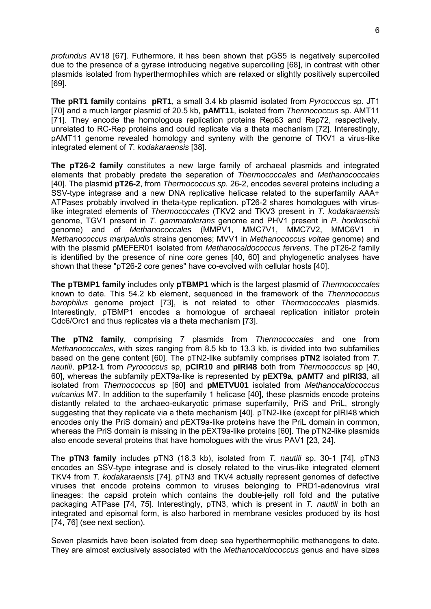*profundus* AV18 [67]. Futhermore, it has been shown that pGS5 is negatively supercoiled due to the presence of a gyrase introducing negative supercoiling [68], in contrast with other plasmids isolated from hyperthermophiles which are relaxed or slightly positively supercoiled [69].

**The pRT1 family** contains **pRT1**, a small 3.4 kb plasmid isolated from *Pyrococcus* sp. JT1 [70] and a much larger plasmid of 20.5 kb, **pAMT11**, isolated from *Thermococcus* sp. AMT11 [71]. They encode the homologous replication proteins Rep63 and Rep72, respectively, unrelated to RC-Rep proteins and could replicate via a theta mechanism [72]. Interestingly, pAMT11 genome revealed homology and synteny with the genome of TKV1 a virus-like integrated element of *T. kodakaraensis* [38].

**The pT26-2 family** constitutes a new large family of archaeal plasmids and integrated elements that probably predate the separation of *Thermococcales* and *Methanococcales* [40]. The plasmid **pT26-2**, from *Thermococcus sp.* 26-2, encodes several proteins including a SSV-type integrase and a new DNA replicative helicase related to the superfamily AAA+ ATPases probably involved in theta-type replication. pT26-2 shares homologues with viruslike integrated elements of *Thermococcales* (TKV2 and TKV3 present in *T. kodakaraensis* genome, TGV1 present in *T. gammatolerans* genome and PHV1 present in *P. horikoschii* genome) and of *Methanococcales* (MMPV1, MMC7V1, MMC7V2, MMC6V1 in *Methanococcus maripaludis* strains genomes; MVV1 in *Methanococcus voltae* genome) and with the plasmid pMEFER01 isolated from *Methanocaldococcus fervens*. The pT26-2 family is identified by the presence of nine core genes [40, 60] and phylogenetic analyses have shown that these "pT26-2 core genes" have co-evolved with cellular hosts [40].

**The pTBMP1 family** includes only **pTBMP1** which is the largest plasmid of *Thermococcales* known to date. This 54.2 kb element, sequenced in the framework of the *Thermococcus barophilus* genome project [73], is not related to other *Thermococcales* plasmids. Interestingly, pTBMP1 encodes a homologue of archaeal replication initiator protein Cdc6/Orc1 and thus replicates via a theta mechanism [73].

**The pTN2 family**, comprising 7 plasmids from *Thermococcales* and one from *Methanococcales*, with sizes ranging from 8.5 kb to 13.3 kb, is divided into two subfamilies based on the gene content [60]. The pTN2-like subfamily comprises **pTN2** isolated from *T. nautili*, **pP12-1** from *Pyrococcus* sp, **pCIR10** and **pIRI48** both from *Thermococcus* sp [40, 60], whereas the subfamily pEXT9a-like is represented by **pEXT9a**, **pAMT7** and **pIRI33**, all isolated from *Thermococcus* sp [60] and **pMETVU01** isolated from *Methanocaldococcus vulcanius* M7. In addition to the superfamily 1 helicase [40], these plasmids encode proteins distantly related to the archaeo-eukaryotic primase superfamily, PriS and PriL, strongly suggesting that they replicate via a theta mechanism [40]. pTN2-like (except for pIRI48 which encodes only the PriS domain) and pEXT9a-like proteins have the PriL domain in common, whereas the PriS domain is missing in the pEXT9a-like proteins [60]. The pTN2-like plasmids also encode several proteins that have homologues with the virus PAV1 [23, 24].

The **pTN3 family** includes pTN3 (18.3 kb), isolated from *T. nautili* sp. 30-1 [74]. pTN3 encodes an SSV-type integrase and is closely related to the virus-like integrated element TKV4 from *T. kodakaraensis* [74]. pTN3 and TKV4 actually represent genomes of defective viruses that encode proteins common to viruses belonging to PRD1-adenovirus viral lineages: the capsid protein which contains the double-jelly roll fold and the putative packaging ATPase [74, 75]. Interestingly, pTN3, which is present in *T. nautili* in both an integrated and episomal form, is also harbored in membrane vesicles produced by its host [74, 76] (see next section).

Seven plasmids have been isolated from deep sea hyperthermophilic methanogens to date. They are almost exclusively associated with the *Methanocaldococcus* genus and have sizes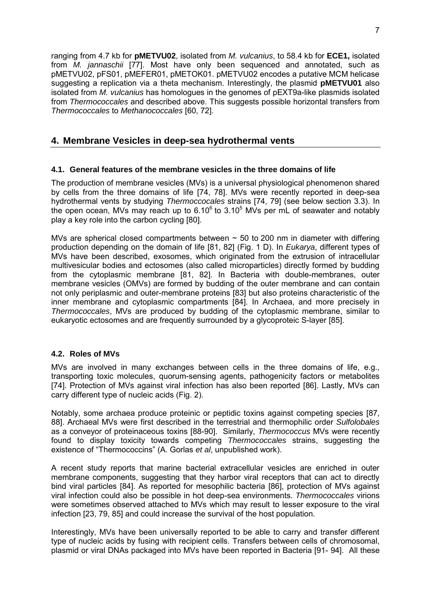ranging from 4.7 kb for **pMETVU02**, isolated from *M. vulcanius*, to 58.4 kb for **ECE1,** isolated from *M. jannaschii* [77]. Most have only been sequenced and annotated, such as pMETVU02, pFS01, pMEFER01, pMETOK01. pMETVU02 encodes a putative MCM helicase suggesting a replication via a theta mechanism. Interestingly, the plasmid **pMETVU01** also isolated from *M. vulcanius* has homologues in the genomes of pEXT9a-like plasmids isolated from *Thermococcales* and described above. This suggests possible horizontal transfers from *Thermococcales* to *Methanococcales* [60, 72].

# **4. Membrane Vesicles in deep-sea hydrothermal vents**

### **4.1. General features of the membrane vesicles in the three domains of life**

The production of membrane vesicles (MVs) is a universal physiological phenomenon shared by cells from the three domains of life [74, 78]. MVs were recently reported in deep-sea hydrothermal vents by studying *Thermoccocales* strains [74, 79] (see below section 3.3). In the open ocean, MVs may reach up to  $6.10<sup>6</sup>$  to  $3.10<sup>5</sup>$  MVs per mL of seawater and notably play a key role into the carbon cycling [80].

MVs are spherical closed compartments between  $\sim$  50 to 200 nm in diameter with differing production depending on the domain of life [81, 82] (Fig. 1 D). In *Eukarya*, different types of MVs have been described, exosomes, which originated from the extrusion of intracellular multivesicular bodies and ectosomes (also called microparticles) directly formed by budding from the cytoplasmic membrane [81, 82]. In Bacteria with double-membranes, outer membrane vesicles (OMVs) are formed by budding of the outer membrane and can contain not only periplasmic and outer-membrane proteins [83] but also proteins characteristic of the inner membrane and cytoplasmic compartments [84]. In Archaea, and more precisely in *Thermococcales*, MVs are produced by budding of the cytoplasmic membrane, similar to eukaryotic ectosomes and are frequently surrounded by a glycoproteic S-layer [85].

### **4.2. Roles of MVs**

MVs are involved in many exchanges between cells in the three domains of life, e.g., transporting toxic molecules, quorum-sensing agents, pathogenicity factors or metabolites [74]. Protection of MVs against viral infection has also been reported [86]. Lastly, MVs can carry different type of nucleic acids (Fig. 2).

Notably, some archaea produce proteinic or peptidic toxins against competing species [87, 88]. Archaeal MVs were first described in the terrestrial and thermophilic order *Sulfolobales*  as a conveyor of proteinaceous toxins [88-90]. Similarly, *Thermococcus* MVs were recently found to display toxicity towards competing *Thermococcales* strains, suggesting the existence of "Thermococcins" (A. Gorlas *et al*, unpublished work).

A recent study reports that marine bacterial extracellular vesicles are enriched in outer membrane components, suggesting that they harbor viral receptors that can act to directly bind viral particles [84]. As reported for mesophilic bacteria [86], protection of MVs against viral infection could also be possible in hot deep-sea environments. *Thermococcales* virions were sometimes observed attached to MVs which may result to lesser exposure to the viral infection [23, 79, 85] and could increase the survival of the host population.

Interestingly, MVs have been universally reported to be able to carry and transfer different type of nucleic acids by fusing with recipient cells. Transfers between cells of chromosomal, plasmid or viral DNAs packaged into MVs have been reported in Bacteria [91- 94]. All these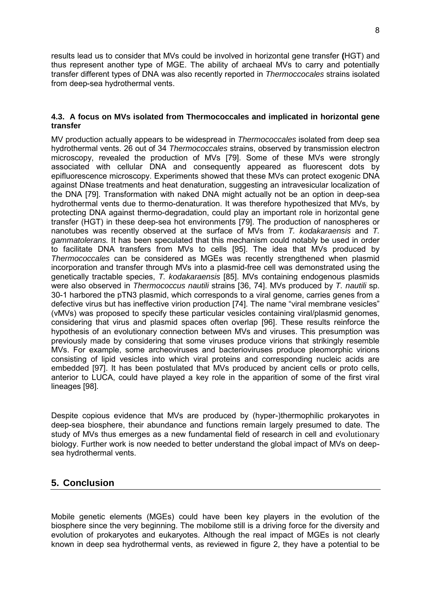results lead us to consider that MVs could be involved in horizontal gene transfer **(**HGT) and thus represent another type of MGE. The ability of archaeal MVs to carry and potentially transfer different types of DNA was also recently reported in *Thermoccocales* strains isolated from deep-sea hydrothermal vents.

### **4.3. A focus on MVs isolated from Thermococcales and implicated in horizontal gene transfer**

MV production actually appears to be widespread in *Thermococcales* isolated from deep sea hydrothermal vents. 26 out of 34 *Thermococcales* strains, observed by transmission electron microscopy, revealed the production of MVs [79]. Some of these MVs were strongly associated with cellular DNA and consequently appeared as fluorescent dots by epifluorescence microscopy. Experiments showed that these MVs can protect exogenic DNA against DNase treatments and heat denaturation, suggesting an intravesicular localization of the DNA [79]. Transformation with naked DNA might actually not be an option in deep-sea hydrothermal vents due to thermo-denaturation. It was therefore hypothesized that MVs, by protecting DNA against thermo-degradation, could play an important role in horizontal gene transfer (HGT) in these deep-sea hot environments [79]. The production of nanospheres or nanotubes was recently observed at the surface of MVs from *T. kodakaraensis* and *T. gammatolerans.* It has been speculated that this mechanism could notably be used in order to facilitate DNA transfers from MVs to cells [95]. The idea that MVs produced by *Thermococcales* can be considered as MGEs was recently strengthened when plasmid incorporation and transfer through MVs into a plasmid-free cell was demonstrated using the genetically tractable species, *T. kodakaraensis* [85]. MVs containing endogenous plasmids were also observed in *Thermococcus nautili* strains [36, 74]. MVs produced by *T. nautili* sp. 30-1 harbored the pTN3 plasmid, which corresponds to a viral genome, carries genes from a defective virus but has ineffective virion production [74]. The name "viral membrane vesicles" (vMVs) was proposed to specify these particular vesicles containing viral/plasmid genomes, considering that virus and plasmid spaces often overlap [96]. These results reinforce the hypothesis of an evolutionary connection between MVs and viruses. This presumption was previously made by considering that some viruses produce virions that strikingly resemble MVs. For example, some archeoviruses and bacterioviruses produce pleomorphic virions consisting of lipid vesicles into which viral proteins and corresponding nucleic acids are embedded [97]. It has been postulated that MVs produced by ancient cells or proto cells, anterior to LUCA, could have played a key role in the apparition of some of the first viral lineages [98].

Despite copious evidence that MVs are produced by (hyper-)thermophilic prokaryotes in deep-sea biosphere, their abundance and functions remain largely presumed to date. The study of MVs thus emerges as a new fundamental field of research in cell and evolutionary biology. Further work is now needed to better understand the global impact of MVs on deepsea hydrothermal vents.

# **5. Conclusion**

Mobile genetic elements (MGEs) could have been key players in the evolution of the biosphere since the very beginning. The mobilome still is a driving force for the diversity and evolution of prokaryotes and eukaryotes. Although the real impact of MGEs is not clearly known in deep sea hydrothermal vents, as reviewed in figure 2, they have a potential to be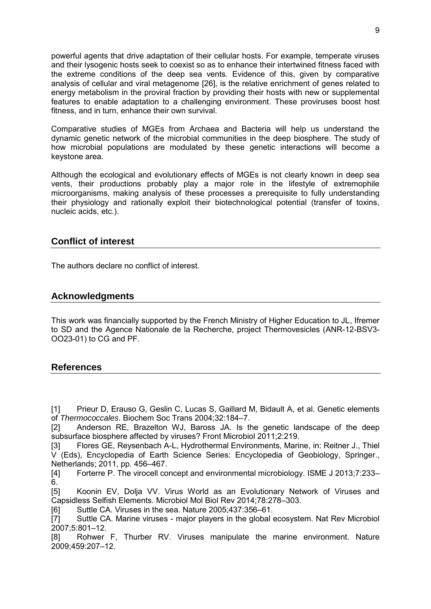powerful agents that drive adaptation of their cellular hosts. For example, temperate viruses and their lysogenic hosts seek to coexist so as to enhance their intertwined fitness faced with the extreme conditions of the deep sea vents. Evidence of this, given by comparative analysis of cellular and viral metagenome [26], is the relative enrichment of genes related to energy metabolism in the proviral fraction by providing their hosts with new or supplemental features to enable adaptation to a challenging environment. These proviruses boost host fitness, and in turn, enhance their own survival.

Comparative studies of MGEs from Archaea and Bacteria will help us understand the dynamic genetic network of the microbial communities in the deep biosphere. The study of how microbial populations are modulated by these genetic interactions will become a keystone area.

Although the ecological and evolutionary effects of MGEs is not clearly known in deep sea vents, their productions probably play a major role in the lifestyle of extremophile microorganisms, making analysis of these processes a prerequisite to fully understanding their physiology and rationally exploit their biotechnological potential (transfer of toxins, nucleic acids, etc.).

### **Conflict of interest**

The authors declare no conflict of interest.

### **Acknowledgments**

This work was financially supported by the French Ministry of Higher Education to JL, Ifremer to SD and the Agence Nationale de la Recherche, project Thermovesicles (ANR-12-BSV3- OO23-01) to CG and PF.

### **References**

[1] Prieur D, Erauso G, Geslin C, Lucas S, Gaillard M, Bidault A, et al. Genetic elements of *Thermococcales*. Biochem Soc Trans 2004;32:184–7.

[2] Anderson RE, Brazelton WJ, Baross JA. Is the genetic landscape of the deep subsurface biosphere affected by viruses? Front Microbiol 2011;2:219.

[3] Flores GE, Reysenbach A-L, Hydrothermal Environments, Marine, in: Reitner J., Thiel V (Eds), Encyclopedia of Earth Science Series: Encyclopedia of Geobiology, Springer., Netherlands; 2011, pp. 456–467.

[4] Forterre P. The virocell concept and environmental microbiology. ISME J 2013;7:233– 6.

[5] Koonin EV, Dolja VV. Virus World as an Evolutionary Network of Viruses and Capsidless Selfish Elements. Microbiol Mol Biol Rev 2014;78:278–303.

[6] Suttle CA. Viruses in the sea. Nature 2005;437:356–61.

[7] Suttle CA. Marine viruses - major players in the global ecosystem. Nat Rev Microbiol 2007;5:801–12.

[8] Rohwer F, Thurber RV. Viruses manipulate the marine environment. Nature 2009;459:207–12.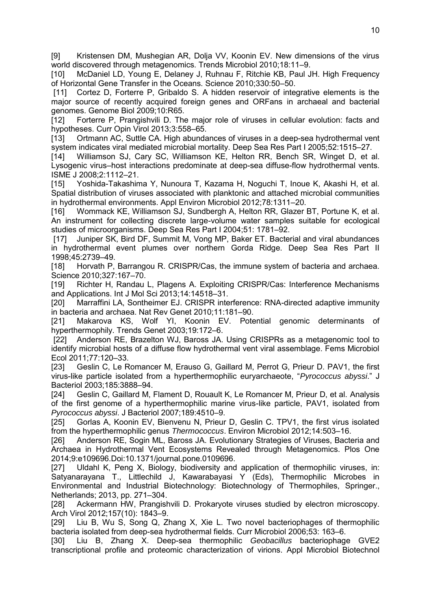[9] Kristensen DM, Mushegian AR, Dolja VV, Koonin EV. New dimensions of the virus world discovered through metagenomics. Trends Microbiol 2010;18:11–9.

[10] McDaniel LD, Young E, Delaney J, Ruhnau F, Ritchie KB, Paul JH. High Frequency of Horizontal Gene Transfer in the Oceans. Science 2010;330:50–50.

[11] Cortez D, Forterre P, Gribaldo S. A hidden reservoir of integrative elements is the major source of recently acquired foreign genes and ORFans in archaeal and bacterial genomes. Genome Biol 2009;10:R65.

[12] Forterre P, Prangishvili D. The major role of viruses in cellular evolution: facts and hypotheses. Curr Opin Virol 2013;3:558–65.

[13] Ortmann AC, Suttle CA. High abundances of viruses in a deep-sea hydrothermal vent system indicates viral mediated microbial mortality. Deep Sea Res Part I 2005;52:1515–27.

[14] Williamson SJ, Cary SC, Williamson KE, Helton RR, Bench SR, Winget D, et al. Lysogenic virus–host interactions predominate at deep-sea diffuse-flow hydrothermal vents. ISME J 2008;2:1112–21.

[15] Yoshida-Takashima Y, Nunoura T, Kazama H, Noguchi T, Inoue K, Akashi H, et al. Spatial distribution of viruses associated with planktonic and attached microbial communities

in hydrothermal environments. Appl Environ Microbiol 2012;78:1311–20.<br>[16] Wommack KE, Williamson SJ, Sundbergh A. Helton RR. Glazer [16] Wommack KE, Williamson SJ, Sundbergh A, Helton RR, Glazer BT, Portune K, et al. An instrument for collecting discrete large-volume water samples suitable for ecological studies of microorganisms. Deep Sea Res Part I 2004;51: 1781–92.

[17] Juniper SK, Bird DF, Summit M, Vong MP, Baker ET. Bacterial and viral abundances in hydrothermal event plumes over northern Gorda Ridge. Deep Sea Res Part II 1998;45:2739–49.

[18] Horvath P, Barrangou R. CRISPR/Cas, the immune system of bacteria and archaea. Science 2010;327:167–70.

[19] Richter H, Randau L, Plagens A. Exploiting CRISPR/Cas: Interference Mechanisms and Applications. Int J Mol Sci 2013;14:14518–31.

[20] Marraffini LA, Sontheimer EJ. CRISPR interference: RNA-directed adaptive immunity

in bacteria and archaea. Nat Rev Genet 2010;11:181–90.<br>[21] Makarova KS, Wolf YI, Koonin EV. Pote Makarova KS, Wolf YI, Koonin EV. Potential genomic determinants of hyperthermophily. Trends Genet 2003;19:172–6.

[22] Anderson RE, Brazelton WJ, Baross JA. Using CRISPRs as a metagenomic tool to identify microbial hosts of a diffuse flow hydrothermal vent viral assemblage. Fems Microbiol Ecol 2011;77:120–33.

[23] Geslin C, Le Romancer M, Erauso G, Gaillard M, Perrot G, Prieur D. PAV1, the first virus-like particle isolated from a hyperthermophilic euryarchaeote, "*Pyrococcus abyssi*." J Bacteriol 2003;185:3888–94.

[24] Geslin C, Gaillard M, Flament D, Rouault K, Le Romancer M, Prieur D, et al. Analysis of the first genome of a hyperthermophilic marine virus-like particle, PAV1, isolated from *Pyrococcus abyssi*. J Bacteriol 2007;189:4510–9.

[25] Gorlas A, Koonin EV, Bienvenu N, Prieur D, Geslin C. TPV1, the first virus isolated from the hyperthermophilic genus *Thermococcus*. Environ Microbiol 2012;14:503–16.

[26] Anderson RE, Sogin ML, Baross JA. Evolutionary Strategies of Viruses, Bacteria and Archaea in Hydrothermal Vent Ecosystems Revealed through Metagenomics. Plos One 2014;9:e109696.Doi:10.1371/journal.pone.0109696.

[27] Uldahl K, Peng X, Biology, biodiversity and application of thermophilic viruses, in: Satyanarayana T., Littlechild J, Kawarabayasi Y (Eds), Thermophilic Microbes in Environmental and Industrial Biotechnology: Biotechnology of Thermophiles, Springer., Netherlands; 2013, pp. 271–304.

[28] Ackermann HW, Prangishvili D. Prokaryote viruses studied by electron microscopy. Arch Virol 2012;157(10): 1843–9.

[29] Liu B, Wu S, Song Q, Zhang X, Xie L. Two novel bacteriophages of thermophilic bacteria isolated from deep-sea hydrothermal fields. Curr Microbiol 2006;53: 163–6.

[30] Liu B, Zhang X. Deep-sea thermophilic *Geobacillus* bacteriophage GVE2 transcriptional profile and proteomic characterization of virions. Appl Microbiol Biotechnol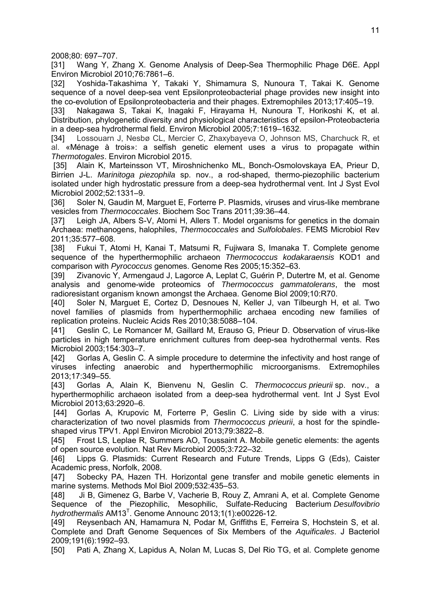2008;80: 697–707.

[31] Wang Y, Zhang X. Genome Analysis of Deep-Sea Thermophilic Phage D6E. Appl Environ Microbiol 2010;76:7861–6.

[32] Yoshida-Takashima Y, Takaki Y, Shimamura S, Nunoura T, Takai K. Genome sequence of a novel deep-sea vent Epsilonproteobacterial phage provides new insight into the co-evolution of Epsilonproteobacteria and their phages. Extremophiles 2013;17:405–19.

[33] Nakagawa S, Takai K, Inagaki F, Hirayama H, Nunoura T, Horikoshi K, et al. Distribution, phylogenetic diversity and physiological characteristics of epsilon-Proteobacteria in a deep-sea hydrothermal field. Environ Microbiol 2005;7:1619–1632.

[34] Lossouarn J, Nesbø CL, Mercier C, Zhaxybayeva O, Johnson MS, Charchuck R, et al. «Ménage à trois»: a selfish genetic element uses a virus to propagate within *Thermotogales*. Environ Microbiol 2015.

[35] Alain K, Marteinsson VT, Miroshnichenko ML, Bonch-Osmolovskaya EA, Prieur D, Birrien J-L. *Marinitoga piezophila* sp. nov., a rod-shaped, thermo-piezophilic bacterium isolated under high hydrostatic pressure from a deep-sea hydrothermal vent. Int J Syst Evol Microbiol 2002;52:1331–9.

[36] Soler N, Gaudin M, Marguet E, Forterre P. Plasmids, viruses and virus-like membrane vesicles from *Thermococcales*. Biochem Soc Trans 2011;39:36–44.

[37] Leigh JA, Albers S-V, Atomi H, Allers T. Model organisms for genetics in the domain Archaea: methanogens, halophiles, *Thermococcales* and *Sulfolobales*. FEMS Microbiol Rev 2011;35:577–608.

[38] Fukui T, Atomi H, Kanai T, Matsumi R, Fujiwara S, Imanaka T. Complete genome sequence of the hyperthermophilic archaeon *Thermococcus kodakaraensis* KOD1 and comparison with *Pyrococcus* genomes. Genome Res 2005;15:352–63.

[39] Zivanovic Y, Armengaud J, Lagorce A, Leplat C, Guérin P, Dutertre M, et al. Genome analysis and genome-wide proteomics of *Thermococcus gammatolerans*, the most radioresistant organism known amongst the Archaea. Genome Biol 2009;10:R70.

[40] Soler N, Marguet E, Cortez D, Desnoues N, Keller J, van Tilbeurgh H, et al. Two novel families of plasmids from hyperthermophilic archaea encoding new families of replication proteins. Nucleic Acids Res 2010;38:5088–104.

[41] Geslin C, Le Romancer M, Gaillard M, Erauso G, Prieur D. Observation of virus-like particles in high temperature enrichment cultures from deep-sea hydrothermal vents. Res Microbiol 2003;154:303–7.

[42] Gorlas A, Geslin C. A simple procedure to determine the infectivity and host range of viruses infecting anaerobic and hyperthermophilic microorganisms. Extremophiles 2013;17:349–55.

[43] Gorlas A, Alain K, Bienvenu N, Geslin C. *[Thermococcus](doi:10.1601/nm.374) prieurii* sp. nov., a hyperthermophilic archaeon isolated from a deep-sea hydrothermal vent. Int J Syst Evol Microbiol 2013;63:2920–6.

[44] Gorlas A, Krupovic M, Forterre P, Geslin C. Living side by side with a virus: characterization of two novel plasmids from *Thermococcus prieurii*, a host for the spindleshaped virus TPV1. Appl Environ Microbiol 2013;79:3822–8.

[45] Frost LS, Leplae R, Summers AO, Toussaint A. Mobile genetic elements: the agents of open source evolution. Nat Rev Microbiol 2005;3:722–32.

[46] Lipps G. Plasmids: Current Research and Future Trends, Lipps G (Eds), Caister Academic press, Norfolk, 2008.

[47] Sobecky PA, Hazen TH. Horizontal gene transfer and mobile genetic elements in marine systems. Methods Mol Biol 2009;532:435–53.

[48] Ji B, Gimenez G, Barbe V, Vacherie B, Rouy Z, Amrani A, et al. Complete Genome Sequence of the Piezophilic, Mesophilic, Sulfate-Reducing Bacterium *Desulfovibrio*  hydrothermalis AM13<sup>T</sup>. Genome Announc 2013;1(1):e00226-12.

[49] Reysenbach AN, Hamamura N, Podar M, Griffiths E, Ferreira S, Hochstein S, et al. Complete and Draft Genome Sequences of Six Members of the *Aquificales*. J Bacteriol 2009;191(6):1992–93.

[50] Pati A, Zhang X, Lapidus A, Nolan M, Lucas S, Del Rio TG, et al. Complete genome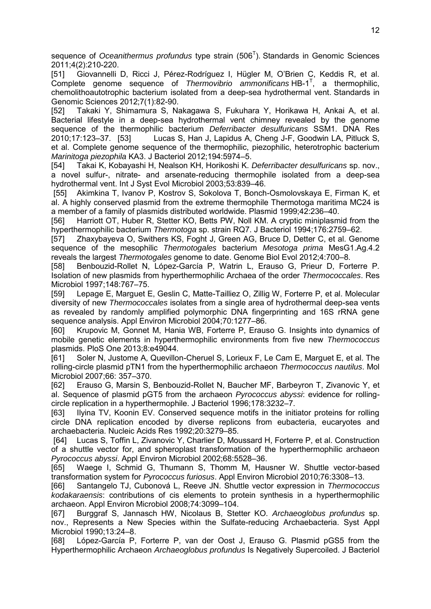sequence of *Oceanithermus profundus* type strain (506<sup>T</sup>). Standards in Genomic Sciences 2011;4(2):210-220.

[51] Giovannelli D, Ricci J, Pérez-Rodríguez I, Hügler M, O'Brien C, Keddis R, et al. Complete genome sequence of *Thermovibrio ammonificans* HB-1 T , a thermophilic, chemolithoautotrophic bacterium isolated from a deep-sea hydrothermal vent. Standards in Genomic Sciences 2012;7(1):82-90.

[52] Takaki Y, Shimamura S, Nakagawa S, Fukuhara Y, Horikawa H, Ankai A, et al. Bacterial lifestyle in a deep-sea hydrothermal vent chimney revealed by the genome sequence of the thermophilic bacterium *Deferribacter desulfuricans* SSM1. DNA Res 2010;17:123–37. [53] Lucas S, Han J, Lapidus A, Cheng J-F, Goodwin LA, Pitluck S, et al. Complete genome sequence of the thermophilic, piezophilic, heterotrophic bacterium *Marinitoga piezophila* KA3. J Bacteriol 2012;194:5974–5.

[54] Takai K, Kobayashi H, Nealson KH, Horikoshi K. *Deferribacter desulfuricans* sp. nov., a novel sulfur-, nitrate- and arsenate-reducing thermophile isolated from a deep-sea hydrothermal vent. Int J Syst Evol Microbiol 2003;53:839–46.

 [55] Akimkina T, Ivanov P, Kostrov S, Sokolova T, Bonch-Osmolovskaya E, Firman K, et al. A highly conserved plasmid from the extreme thermophile Thermotoga maritima MC24 is a member of a family of plasmids distributed worldwide. Plasmid 1999;42:236–40.

[56] Harriott OT, Huber R, Stetter KO, Betts PW, Noll KM. A cryptic miniplasmid from the hyperthermophilic bacterium *Thermotoga* sp. strain RQ7. J Bacteriol 1994;176:2759–62.

[57] Zhaxybayeva O, Swithers KS, Foght J, Green AG, Bruce D, Detter C, et al. Genome sequence of the mesophilic *Thermotogales* bacterium *Mesotoga prima* MesG1.Ag.4.2 reveals the largest *Thermotogales* genome to date. Genome Biol Evol 2012;4:700–8.

[58] Benbouzid-Rollet N, López-García P, Watrin L, Erauso G, Prieur D, Forterre P. Isolation of new plasmids from hyperthermophilic Archaea of the order *Thermococcales*. Res Microbiol 1997;148:767–75.

[59] Lepage E, Marguet E, Geslin C, Matte-Tailliez O, Zillig W, Forterre P, et al. Molecular diversity of new *Thermococcales* isolates from a single area of hydrothermal deep-sea vents as revealed by randomly amplified polymorphic DNA fingerprinting and 16S rRNA gene sequence analysis. Appl Environ Microbiol 2004;70:1277–86.

[60] Krupovic M, Gonnet M, Hania WB, Forterre P, Erauso G. Insights into dynamics of mobile genetic elements in hyperthermophilic environments from five new *Thermococcus*  plasmids. PloS One 2013;8:e49044.

[61] Soler N, Justome A, Quevillon-Cheruel S, Lorieux F, Le Cam E, Marguet E, et al. The rolling-circle plasmid pTN1 from the hyperthermophilic archaeon *Thermococcus nautilus*. Mol Microbiol 2007;66: 357–370.

[62] Erauso G, Marsin S, Benbouzid-Rollet N, Baucher MF, Barbeyron T, Zivanovic Y, et al. Sequence of plasmid pGT5 from the archaeon *Pyrococcus abyssi*: evidence for rollingcircle replication in a hyperthermophile. J Bacteriol 1996;178:3232–7.

[63] Ilyina TV, Koonin EV. Conserved sequence motifs in the initiator proteins for rolling circle DNA replication encoded by diverse replicons from eubacteria, eucaryotes and archaebacteria. Nucleic Acids Res 1992;20:3279–85.

 [64] Lucas S, Toffin L, Zivanovic Y, Charlier D, Moussard H, Forterre P, et al. Construction of a shuttle vector for, and spheroplast transformation of the hyperthermophilic archaeon *Pyrococcus abyssi*. Appl Environ Microbiol 2002;68:5528–36.

[65] Waege I, Schmid G, Thumann S, Thomm M, Hausner W. Shuttle vector-based transformation system for *Pyrococcus furiosus*. Appl Environ Microbiol 2010;76:3308–13.

[66] Santangelo TJ, Cubonová L, Reeve JN. Shuttle vector expression in *Thermococcus kodakaraensis*: contributions of cis elements to protein synthesis in a hyperthermophilic archaeon. Appl Environ Microbiol 2008;74:3099–104.

[67] Burggraf S, Jannasch HW, Nicolaus B, Stetter KO. *Archaeoglobus profundus* sp. nov., Represents a New Species within the Sulfate-reducing Archaebacteria. Syst Appl Microbiol 1990;13:24–8.

[68] López-García P, Forterre P, van der Oost J, Erauso G. Plasmid pGS5 from the Hyperthermophilic Archaeon *Archaeoglobus profundus* Is Negatively Supercoiled. J Bacteriol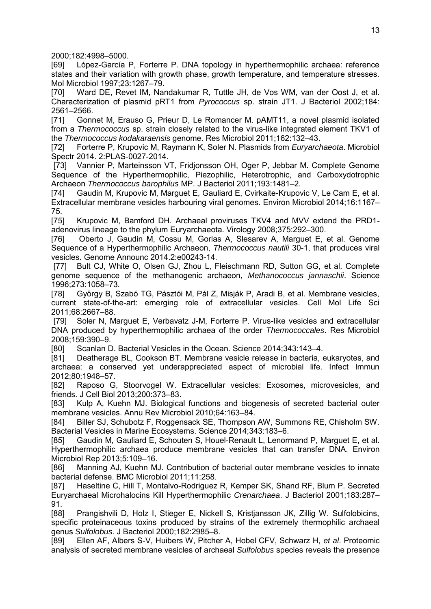2000;182:4998–5000.

[69] López-García P, Forterre P. DNA topology in hyperthermophilic archaea: reference states and their variation with growth phase, growth temperature, and temperature stresses. Mol Microbiol 1997;23:1267–79.

[70] Ward DE, Revet IM, Nandakumar R, Tuttle JH, de Vos WM, van der Oost J, et al. Characterization of plasmid pRT1 from *Pyrococcus* sp. strain JT1. J Bacteriol 2002;184: 2561–2566.

[71] Gonnet M, Erauso G, Prieur D, Le Romancer M. pAMT11, a novel plasmid isolated from a *Thermococcus* sp. strain closely related to the virus-like integrated element TKV1 of the *Thermococcus kodakaraensis* genome. Res Microbiol 2011;162:132–43.

[72] Forterre P, Krupovic M, Raymann K, Soler N. Plasmids from *Euryarchaeota*. Microbiol Spectr 2014. 2:PLAS-0027-2014.

 [73] Vannier P, Marteinsson VT, Fridjonsson OH, Oger P, Jebbar M. Complete Genome Sequence of the Hyperthermophilic, Piezophilic, Heterotrophic, and Carboxydotrophic Archaeon *Thermococcus barophilus* MP. J Bacteriol 2011;193:1481–2.

[74] Gaudin M, Krupovic M, Marguet E, Gauliard E, Cvirkaite-Krupovic V, Le Cam E, et al. Extracellular membrane vesicles harbouring viral genomes. Environ Microbiol 2014;16:1167– 75.

[75] Krupovic M, Bamford DH. Archaeal proviruses TKV4 and MVV extend the PRD1adenovirus lineage to the phylum Euryarchaeota. Virology 2008;375:292–300.

[76] Oberto J, Gaudin M, Cossu M, Gorlas A, Slesarev A, Marguet E, et al. Genome Sequence of a Hyperthermophilic Archaeon, *Thermococcus nautili* 30-1, that produces viral vesicles. Genome Announc 2014.2:e00243-14.

[77] Bult CJ, White O, Olsen GJ, Zhou L, Fleischmann RD, Sutton GG, et al. Complete genome sequence of the methanogenic archaeon, *Methanococcus jannaschii*. Science 1996;273:1058–73.

[78] György B, Szabó TG, Pásztói M, Pál Z, Misják P, Aradi B, et al. Membrane vesicles, current state-of-the-art: emerging role of extracellular vesicles. Cell Mol Life Sci 2011;68:2667–88.

[79] Soler N, Marguet E, Verbavatz J-M, Forterre P. Virus-like vesicles and extracellular DNA produced by hyperthermophilic archaea of the order *Thermococcales*. Res Microbiol 2008;159:390–9.

[80] Scanlan D. Bacterial Vesicles in the Ocean. Science 2014;343:143-4.

[81] Deatherage BL, Cookson BT. Membrane vesicle release in bacteria, eukaryotes, and archaea: a conserved yet underappreciated aspect of microbial life. Infect Immun 2012;80:1948–57.

[82] Raposo G, Stoorvogel W. Extracellular vesicles: Exosomes, microvesicles, and friends. J Cell Biol 2013;200:373–83.

[83] Kulp A, Kuehn MJ. Biological functions and biogenesis of secreted bacterial outer membrane vesicles. Annu Rev Microbiol 2010;64:163–84.

[84] Biller SJ, Schubotz F, Roggensack SE, Thompson AW, Summons RE, Chisholm SW. Bacterial Vesicles in Marine Ecosystems. Science 2014;343:183–6.

[85] Gaudin M, Gauliard E, Schouten S, Houel-Renault L, Lenormand P, Marguet E, et al. Hyperthermophilic archaea produce membrane vesicles that can transfer DNA. Environ Microbiol Rep 2013;5:109–16.

[86] Manning AJ, Kuehn MJ. Contribution of bacterial outer membrane vesicles to innate bacterial defense. BMC Microbiol 2011;11:258.

[87] Haseltine C, Hill T, Montalvo-Rodriguez R, Kemper SK, Shand RF, Blum P. Secreted Euryarchaeal Microhalocins Kill Hyperthermophilic *Crenarchaea*. J Bacteriol 2001;183:287– 91.

[88] Prangishvili D, Holz I, Stieger E, Nickell S, Kristjansson JK, Zillig W. Sulfolobicins, specific proteinaceous toxins produced by strains of the extremely thermophilic archaeal genus *Sulfolobus*. J Bacteriol 2000;182:2985–8.

[89] Ellen AF, Albers S-V, Huibers W, Pitcher A, Hobel CFV, Schwarz H, *et al*. Proteomic analysis of secreted membrane vesicles of archaeal *Sulfolobus* species reveals the presence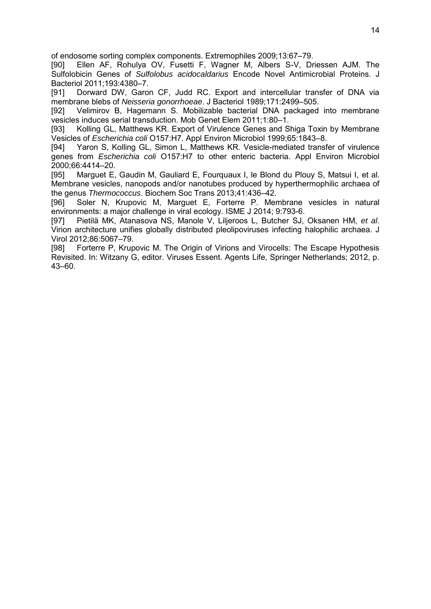of endosome sorting complex components. Extremophiles 2009;13:67–79.

[90] Ellen AF, Rohulya OV, Fusetti F, Wagner M, Albers S-V, Driessen AJM. The Sulfolobicin Genes of *Sulfolobus acidocaldarius* Encode Novel Antimicrobial Proteins. J Bacteriol 2011;193:4380–7.

[91] Dorward DW, Garon CF, Judd RC. Export and intercellular transfer of DNA via membrane blebs of *Neisseria gonorrhoeae*. J Bacteriol 1989;171:2499–505.

[92] Velimirov B, Hagemann S. Mobilizable bacterial DNA packaged into membrane vesicles induces serial transduction. Mob Genet Elem 2011;1:80–1.

[93] Kolling GL, Matthews KR. Export of Virulence Genes and Shiga Toxin by Membrane Vesicles of *Escherichia coli* O157:H7. Appl Environ Microbiol 1999;65:1843–8.

[94] Yaron S, Kolling GL, Simon L, Matthews KR. Vesicle-mediated transfer of virulence genes from *Escherichia coli* O157:H7 to other enteric bacteria. Appl Environ Microbiol 2000;66:4414–20.

[95] Marguet E, Gaudin M, Gauliard E, Fourquaux I, le Blond du Plouy S, Matsui I, et al. Membrane vesicles, nanopods and/or nanotubes produced by hyperthermophilic archaea of the genus *Thermococcus*. Biochem Soc Trans 2013;41:436–42.

[96] Soler N, Krupovic M, Marguet E, Forterre P. Membrane vesicles in natural environments: a major challenge in viral ecology. ISME J 2014; 9:793-6.

[97] Pietilä MK, Atanasova NS, Manole V, Liljeroos L, Butcher SJ, Oksanen HM, *et al*. Virion architecture unifies globally distributed pleolipoviruses infecting halophilic archaea. J Virol 2012;86:5067–79.

[98] Forterre P, Krupovic M. The Origin of Virions and Virocells: The Escape Hypothesis Revisited. In: Witzany G, editor. Viruses Essent. Agents Life, Springer Netherlands; 2012, p. 43–60.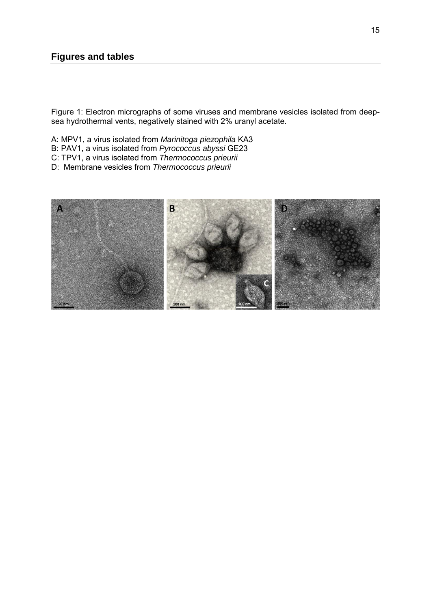Figure 1: Electron micrographs of some viruses and membrane vesicles isolated from deepsea hydrothermal vents, negatively stained with 2% uranyl acetate.

- A: MPV1, a virus isolated from *Marinitoga piezophila* KA3
- B: PAV1, a virus isolated from *Pyrococcus abyssi* GE23
- C: TPV1, a virus isolated from *Thermococcus prieurii*
- D: Membrane vesicles from *Thermococcus prieurii*

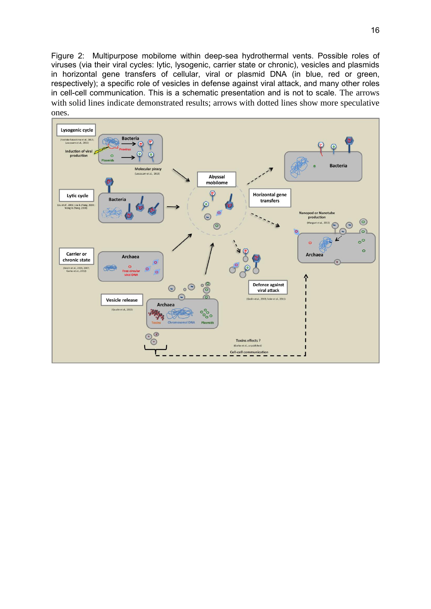Figure 2: Multipurpose mobilome within deep-sea hydrothermal vents. Possible roles of viruses (via their viral cycles: lytic, lysogenic, carrier state or chronic), vesicles and plasmids in horizontal gene transfers of cellular, viral or plasmid DNA (in blue, red or green, respectively); a specific role of vesicles in defense against viral attack, and many other roles in cell-cell communication. This is a schematic presentation and is not to scale. The arrows with solid lines indicate demonstrated results; arrows with dotted lines show more speculative ones.

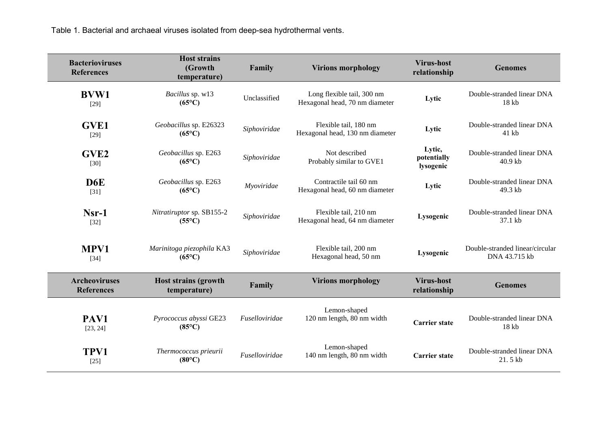Table 1. Bacterial and archaeal viruses isolated from deep-sea hydrothermal vents.

| <b>Bacterioviruses</b><br><b>References</b> | <b>Host strains</b><br>(Growth<br>temperature) | Family                | <b>Virions morphology</b>                                    | <b>Virus-host</b><br>relationship  | <b>Genomes</b>                                   |
|---------------------------------------------|------------------------------------------------|-----------------------|--------------------------------------------------------------|------------------------------------|--------------------------------------------------|
| <b>BVW1</b><br>$[29]$                       | Bacillus sp. w13<br>$(65^{\circ}C)$            | Unclassified          | Long flexible tail, 300 nm<br>Hexagonal head, 70 nm diameter | Lytic                              | Double-stranded linear DNA<br>18 kb              |
| <b>GVE1</b><br>$[29]$                       | Geobacillus sp. E26323<br>$(65^{\circ}C)$      | Siphoviridae          | Flexible tail, 180 nm<br>Hexagonal head, 130 nm diameter     | Lytic                              | Double-stranded linear DNA<br>41 kb              |
| GVE <sub>2</sub><br>$[30]$                  | Geobacillus sp. E263<br>$(65^{\circ}C)$        | Siphoviridae          | Not described<br>Probably similar to GVE1                    | Lytic,<br>potentially<br>lysogenic | Double-stranded linear DNA<br>40.9 kb            |
| D <sub>6</sub> E<br>$[31]$                  | Geobacillus sp. E263<br>$(65^{\circ}C)$        | Myoviridae            | Contractile tail 60 nm<br>Hexagonal head, 60 nm diameter     | Lytic                              | Double-stranded linear DNA<br>49.3 kb            |
| $Nsr-1$<br>$[32]$                           | Nitratiruptor sp. SB155-2<br>$(55^{\circ}C)$   | Siphoviridae          | Flexible tail, 210 nm<br>Hexagonal head, 64 nm diameter      | Lysogenic                          | Double-stranded linear DNA<br>37.1 kb            |
| <b>MPV1</b><br>$[34]$                       | Marinitoga piezophila KA3<br>$(65^{\circ}C)$   | Siphoviridae          | Flexible tail, 200 nm<br>Hexagonal head, 50 nm               | Lysogenic                          | Double-stranded linear/circular<br>DNA 43.715 kb |
| <b>Archeoviruses</b><br><b>References</b>   | <b>Host strains (growth</b><br>temperature)    | Family                | <b>Virions morphology</b>                                    | <b>Virus-host</b><br>relationship  | <b>Genomes</b>                                   |
| PAV1<br>[23, 24]                            | Pyrococcus abyssi GE23<br>$(85^{\circ}C)$      | <i>Fuselloviridae</i> | Lemon-shaped<br>120 nm length, 80 nm width                   | <b>Carrier state</b>               | Double-stranded linear DNA<br>18 kb              |
| TPV1<br>$[25]$                              | Thermococcus prieurii<br>$(80^{\circ}C)$       | Fuselloviridae        | Lemon-shaped<br>140 nm length, 80 nm width                   | <b>Carrier state</b>               | Double-stranded linear DNA<br>21.5 kb            |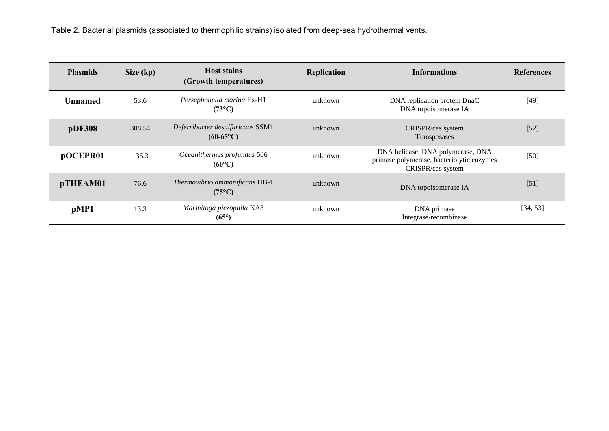Table 2. Bacterial plasmids (associated to thermophilic strains) isolated from deep-sea hydrothermal vents.

| <b>Plasmids</b> | Size (kp) | <b>Host stains</b><br>(Growth temperatures)            | Replication | <b>Informations</b>                                                                                 | <b>References</b> |
|-----------------|-----------|--------------------------------------------------------|-------------|-----------------------------------------------------------------------------------------------------|-------------------|
| <b>Unnamed</b>  | 53.6      | Persephonella marina Ex-H1<br>$(73^{\circ}C)$          | unknown     | DNA replication protein DnaC<br>DNA topoisomerase IA                                                | $[49]$            |
| pDF308          | 308.54    | Deferribacter desulfuricans SSM1<br>$(60-65\degree C)$ | unknown     | CRISPR/cas system<br>Transposases                                                                   | $[52]$            |
| pOCEPR01        | 135.3     | Oceanithermus profundus 506<br>$(60^{\circ}C)$         | unknown     | DNA helicase, DNA polymerase, DNA<br>primase polymerase, bacteriolytic enzymes<br>CRISPR/cas system | $[50]$            |
| pTHEAM01        | 76.6      | Thermovibrio ammonificans HB-1<br>$(75^{\circ}C)$      | unknown     | DNA topoisomerase IA                                                                                | $[51]$            |
| pMP1            | 13.3      | Marinitoga piezophila KA3<br>$(65^{\circ})$            | unknown     | DNA primase<br>Integrase/recombinase                                                                | [34, 53]          |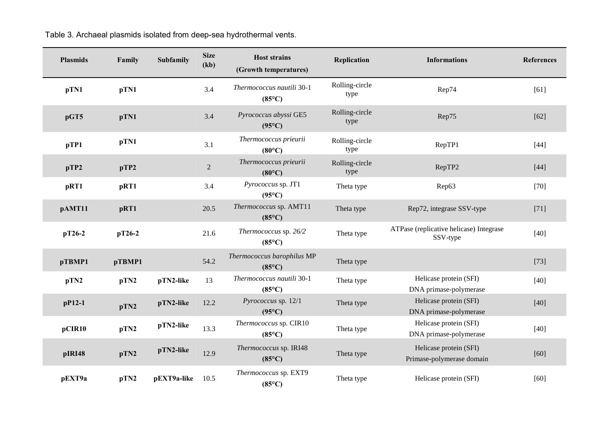| <b>Plasmids</b> | Family | Subfamily   | <b>Size</b><br>(kb) | <b>Host strains</b><br>(Growth temperatures)  | Replication            | <b>Informations</b>                                 | <b>References</b> |
|-----------------|--------|-------------|---------------------|-----------------------------------------------|------------------------|-----------------------------------------------------|-------------------|
| pTN1            | pTN1   |             | 3.4                 | Thermococcus nautili 30-1<br>$(85^{\circ}C)$  | Rolling-circle<br>type | Rep74                                               | [61]              |
| pGT5            | pTN1   |             | 3.4                 | Pyrococcus abyssi GE5<br>$(95^{\circ}C)$      | Rolling-circle<br>type | Rep75                                               | $[62]$            |
| pTP1            | pTN1   |             | 3.1                 | Thermococcus prieurii<br>$(80^{\circ}C)$      | Rolling-circle<br>type | RepTP1                                              | $[44]$            |
| pTP2            | pTP2   |             | $\overline{2}$      | Thermococcus prieurii<br>$(80^{\circ}C)$      | Rolling-circle<br>type | RepTP2                                              | $[44]$            |
| pRT1            | pRT1   |             | 3.4                 | Pyrococcus sp. JT1<br>$(95^{\circ}C)$         | Theta type             | Rep63                                               | $[70]$            |
| pAMT11          | pRT1   |             | 20.5                | Thermococcus sp. AMT11<br>$(85^{\circ}C)$     | Theta type             | Rep72, integrase SSV-type                           | $[71]$            |
| $pT26-2$        | pT26-2 |             | 21.6                | Thermococcus sp. 26/2<br>$(85^{\circ}C)$      | Theta type             | ATPase (replicative helicase) Integrase<br>SSV-type | $[40]$            |
| pTBMP1          | pTBMP1 |             | 54.2                | Thermococcus barophilus MP<br>$(85^{\circ}C)$ | Theta type             |                                                     | $[73]$            |
| pTN2            | pTN2   | pTN2-like   | 13                  | Thermococcus nautili 30-1<br>$(85^{\circ}C)$  | Theta type             | Helicase protein (SFI)<br>DNA primase-polymerase    | $[40]$            |
| $pP12-1$        | pTN2   | pTN2-like   | 12.2                | Pyrococcus sp. 12/1<br>$(95^{\circ}C)$        | Theta type             | Helicase protein (SFI)<br>DNA primase-polymerase    | $[40]$            |
| pCIR10          | pTN2   | pTN2-like   | 13.3                | Thermococcus sp. CIR10<br>$(85^{\circ}C)$     | Theta type             | Helicase protein (SFI)<br>DNA primase-polymerase    | $[40]$            |
| pIRI48          | pTN2   | pTN2-like   | 12.9                | Thermococcus sp. IRI48<br>$(85^{\circ}C)$     | Theta type             | Helicase protein (SFI)<br>Primase-polymerase domain | $[60]$            |
| pEXT9a          | pTN2   | pEXT9a-like | 10.5                | Thermococcus sp. EXT9<br>$(85^{\circ}C)$      | Theta type             | Helicase protein (SFI)                              | $[60]$            |

Table 3. Archaeal plasmids isolated from deep-sea hydrothermal vents.